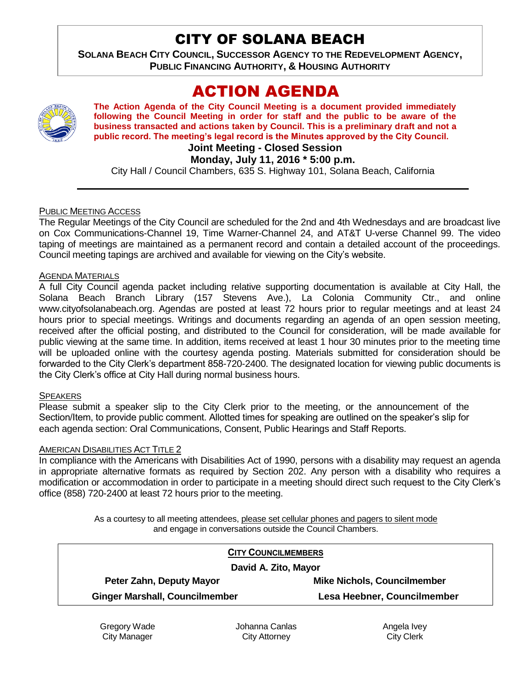## CITY OF SOLANA BEACH

**SOLANA BEACH CITY COUNCIL, SUCCESSOR AGENCY TO THE REDEVELOPMENT AGENCY, PUBLIC FINANCING AUTHORITY, & HOUSING AUTHORITY** 

# ACTION AGENDA

**The Action Agenda of the City Council Meeting is a document provided immediately following the Council Meeting in order for staff and the public to be aware of the business transacted and actions taken by Council. This is a preliminary draft and not a public record. The meeting's legal record is the Minutes approved by the City Council.**

**Joint Meeting - Closed Session**

**Monday, July 11, 2016 \* 5:00 p.m.**

City Hall / Council Chambers, 635 S. Highway 101, Solana Beach, California

#### PUBLIC MEETING ACCESS

The Regular Meetings of the City Council are scheduled for the 2nd and 4th Wednesdays and are broadcast live on Cox Communications-Channel 19, Time Warner-Channel 24, and AT&T U-verse Channel 99. The video taping of meetings are maintained as a permanent record and contain a detailed account of the proceedings. Council meeting tapings are archived and available for viewing on the City's website.

#### AGENDA MATERIALS

A full City Council agenda packet including relative supporting documentation is available at City Hall, the Solana Beach Branch Library (157 Stevens Ave.), La Colonia Community Ctr., and online www.cityofsolanabeach.org. Agendas are posted at least 72 hours prior to regular meetings and at least 24 hours prior to special meetings. Writings and documents regarding an agenda of an open session meeting, received after the official posting, and distributed to the Council for consideration, will be made available for public viewing at the same time. In addition, items received at least 1 hour 30 minutes prior to the meeting time will be uploaded online with the courtesy agenda posting. Materials submitted for consideration should be forwarded to the City Clerk's department 858-720-2400. The designated location for viewing public documents is the City Clerk's office at City Hall during normal business hours.

#### **SPEAKERS**

Please submit a speaker slip to the City Clerk prior to the meeting, or the announcement of the Section/Item, to provide public comment. Allotted times for speaking are outlined on the speaker's slip for each agenda section: Oral Communications, Consent, Public Hearings and Staff Reports.

#### AMERICAN DISABILITIES ACT TITLE 2

In compliance with the Americans with Disabilities Act of 1990, persons with a disability may request an agenda in appropriate alternative formats as required by Section 202. Any person with a disability who requires a modification or accommodation in order to participate in a meeting should direct such request to the City Clerk's office (858) 720-2400 at least 72 hours prior to the meeting.

> As a courtesy to all meeting attendees, please set cellular phones and pagers to silent mode and engage in conversations outside the Council Chambers.

|                                       | <b>CITY COUNCILMEMBERS</b>         |
|---------------------------------------|------------------------------------|
| David A. Zito, Mayor                  |                                    |
| Peter Zahn, Deputy Mayor              | <b>Mike Nichols, Councilmember</b> |
| <b>Ginger Marshall, Councilmember</b> | Lesa Heebner, Councilmember        |

Gregory Wade City Manager

Johanna Canlas City Attorney

Angela Ivey City Clerk